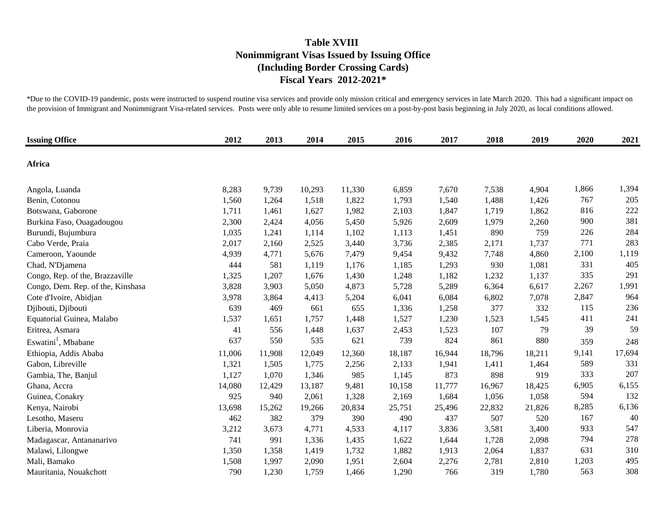| <b>Issuing Office</b>             | 2012   | 2013   | 2014   | 2015   | 2016   | 2017   | 2018   | 2019   | 2020  | 2021   |
|-----------------------------------|--------|--------|--------|--------|--------|--------|--------|--------|-------|--------|
| Africa                            |        |        |        |        |        |        |        |        |       |        |
| Angola, Luanda                    | 8,283  | 9,739  | 10,293 | 11,330 | 6,859  | 7,670  | 7,538  | 4,904  | 1,866 | 1,394  |
| Benin, Cotonou                    | 1,560  | 1,264  | 1,518  | 1,822  | 1,793  | 1,540  | 1,488  | 1,426  | 767   | 205    |
| Botswana, Gaborone                | 1,711  | 1,461  | 1,627  | 1,982  | 2,103  | 1,847  | 1,719  | 1,862  | 816   | 222    |
| Burkina Faso, Ouagadougou         | 2,300  | 2,424  | 4,056  | 5,450  | 5,926  | 2,609  | 1,979  | 2,260  | 900   | 381    |
| Burundi, Bujumbura                | 1,035  | 1,241  | 1,114  | 1,102  | 1,113  | 1,451  | 890    | 759    | 226   | 284    |
| Cabo Verde, Praia                 | 2,017  | 2,160  | 2,525  | 3,440  | 3,736  | 2,385  | 2,171  | 1,737  | 771   | 283    |
| Cameroon, Yaounde                 | 4,939  | 4,771  | 5,676  | 7,479  | 9,454  | 9,432  | 7,748  | 4,860  | 2,100 | 1,119  |
| Chad, N'Djamena                   | 444    | 581    | 1,119  | 1,176  | 1,185  | 1,293  | 930    | 1,081  | 331   | 405    |
| Congo, Rep. of the, Brazzaville   | 1,325  | 1,207  | 1,676  | 1,430  | 1,248  | 1,182  | 1,232  | 1,137  | 335   | 291    |
| Congo, Dem. Rep. of the, Kinshasa | 3,828  | 3,903  | 5,050  | 4,873  | 5,728  | 5,289  | 6,364  | 6,617  | 2,267 | 1,991  |
| Cote d'Ivoire, Abidjan            | 3,978  | 3,864  | 4,413  | 5,204  | 6,041  | 6,084  | 6,802  | 7,078  | 2,847 | 964    |
| Djibouti, Djibouti                | 639    | 469    | 661    | 655    | 1,336  | 1,258  | 377    | 332    | 115   | 236    |
| Equatorial Guinea, Malabo         | 1,537  | 1,651  | 1,757  | 1,448  | 1,527  | 1,230  | 1,523  | 1,545  | 411   | 241    |
| Eritrea, Asmara                   | 41     | 556    | 1,448  | 1,637  | 2,453  | 1,523  | 107    | 79     | 39    | 59     |
| Eswatini <sup>1</sup> , Mbabane   | 637    | 550    | 535    | 621    | 739    | 824    | 861    | 880    | 359   | 248    |
| Ethiopia, Addis Ababa             | 11,006 | 11,908 | 12,049 | 12,360 | 18,187 | 16,944 | 18,796 | 18,211 | 9,141 | 17,694 |
| Gabon, Libreville                 | 1,321  | 1,505  | 1,775  | 2,256  | 2,133  | 1,941  | 1,411  | 1,464  | 589   | 331    |
| Gambia, The, Banjul               | 1,127  | 1,070  | 1,346  | 985    | 1,145  | 873    | 898    | 919    | 333   | 207    |
| Ghana, Accra                      | 14,080 | 12,429 | 13,187 | 9,481  | 10,158 | 11,777 | 16,967 | 18,425 | 6,905 | 6,155  |
| Guinea, Conakry                   | 925    | 940    | 2,061  | 1,328  | 2,169  | 1,684  | 1,056  | 1,058  | 594   | 132    |
| Kenya, Nairobi                    | 13,698 | 15,262 | 19,266 | 20,834 | 25,751 | 25,496 | 22,832 | 21,826 | 8,285 | 6,136  |
| Lesotho, Maseru                   | 462    | 382    | 379    | 390    | 490    | 437    | 507    | 520    | 167   | 40     |
| Liberia, Monrovia                 | 3,212  | 3,673  | 4,771  | 4,533  | 4,117  | 3,836  | 3,581  | 3,400  | 933   | 547    |
| Madagascar, Antananarivo          | 741    | 991    | 1,336  | 1,435  | 1,622  | 1,644  | 1,728  | 2,098  | 794   | 278    |
| Malawi, Lilongwe                  | 1,350  | 1,358  | 1,419  | 1,732  | 1,882  | 1,913  | 2,064  | 1,837  | 631   | 310    |
| Mali, Bamako                      | 1,508  | 1,997  | 2,090  | 1,951  | 2,604  | 2,276  | 2,781  | 2,810  | 1,203 | 495    |
| Mauritania, Nouakchott            | 790    | 1,230  | 1,759  | 1,466  | 1,290  | 766    | 319    | 1,780  | 563   | 308    |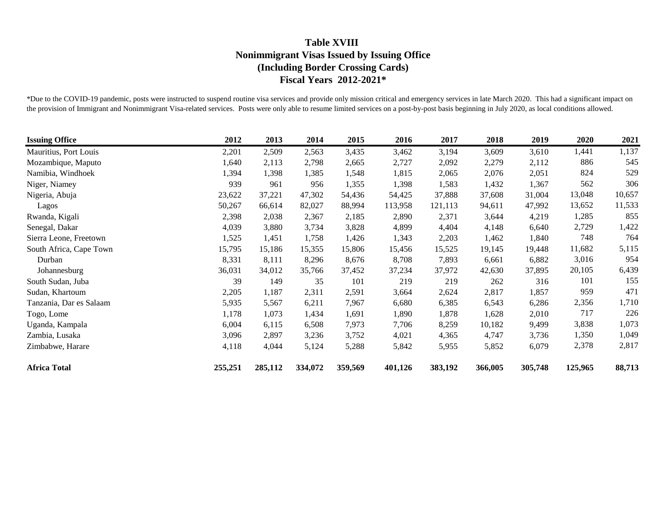| <b>Issuing Office</b>   | 2012    | 2013    | 2014    | 2015    | 2016    | 2017    | 2018    | 2019    | 2020    | 2021   |
|-------------------------|---------|---------|---------|---------|---------|---------|---------|---------|---------|--------|
| Mauritius, Port Louis   | 2,201   | 2,509   | 2,563   | 3,435   | 3,462   | 3,194   | 3,609   | 3,610   | 1,441   | 1,137  |
| Mozambique, Maputo      | 1,640   | 2,113   | 2,798   | 2,665   | 2,727   | 2,092   | 2,279   | 2,112   | 886     | 545    |
| Namibia, Windhoek       | 1,394   | 1,398   | 1,385   | 1,548   | 1,815   | 2,065   | 2,076   | 2,051   | 824     | 529    |
| Niger, Niamey           | 939     | 961     | 956     | 1,355   | 1,398   | 1,583   | 1,432   | 1,367   | 562     | 306    |
| Nigeria, Abuja          | 23,622  | 37,221  | 47,302  | 54,436  | 54,425  | 37,888  | 37,608  | 31,004  | 13,048  | 10,657 |
| Lagos                   | 50,267  | 66,614  | 82,027  | 88,994  | 113,958 | 121,113 | 94,611  | 47,992  | 13,652  | 11,533 |
| Rwanda, Kigali          | 2,398   | 2,038   | 2,367   | 2,185   | 2,890   | 2,371   | 3,644   | 4,219   | 1,285   | 855    |
| Senegal, Dakar          | 4,039   | 3,880   | 3,734   | 3,828   | 4,899   | 4,404   | 4,148   | 6,640   | 2,729   | 1,422  |
| Sierra Leone, Freetown  | 1,525   | 1,451   | 1,758   | 1,426   | 1,343   | 2,203   | 1,462   | 1,840   | 748     | 764    |
| South Africa, Cape Town | 15,795  | 15,186  | 15,355  | 15,806  | 15,456  | 15,525  | 19,145  | 19,448  | 11,682  | 5,115  |
| Durban                  | 8,331   | 8,111   | 8,296   | 8,676   | 8,708   | 7,893   | 6,661   | 6,882   | 3,016   | 954    |
| Johannesburg            | 36,031  | 34,012  | 35,766  | 37,452  | 37,234  | 37,972  | 42,630  | 37,895  | 20,105  | 6,439  |
| South Sudan, Juba       | 39      | 149     | 35      | 101     | 219     | 219     | 262     | 316     | 101     | 155    |
| Sudan, Khartoum         | 2,205   | 1,187   | 2,311   | 2,591   | 3,664   | 2,624   | 2,817   | 1,857   | 959     | 471    |
| Tanzania, Dar es Salaam | 5,935   | 5,567   | 6,211   | 7,967   | 6,680   | 6,385   | 6,543   | 6,286   | 2,356   | 1,710  |
| Togo, Lome              | 1,178   | 1,073   | 1,434   | 1,691   | 1,890   | 1,878   | 1,628   | 2,010   | 717     | 226    |
| Uganda, Kampala         | 6,004   | 6,115   | 6,508   | 7,973   | 7,706   | 8,259   | 10,182  | 9,499   | 3,838   | 1,073  |
| Zambia, Lusaka          | 3,096   | 2,897   | 3,236   | 3,752   | 4,021   | 4,365   | 4,747   | 3,736   | 1,350   | 1,049  |
| Zimbabwe, Harare        | 4,118   | 4,044   | 5,124   | 5,288   | 5,842   | 5,955   | 5,852   | 6,079   | 2,378   | 2,817  |
| <b>Africa Total</b>     | 255,251 | 285,112 | 334,072 | 359,569 | 401,126 | 383,192 | 366,005 | 305,748 | 125,965 | 88,713 |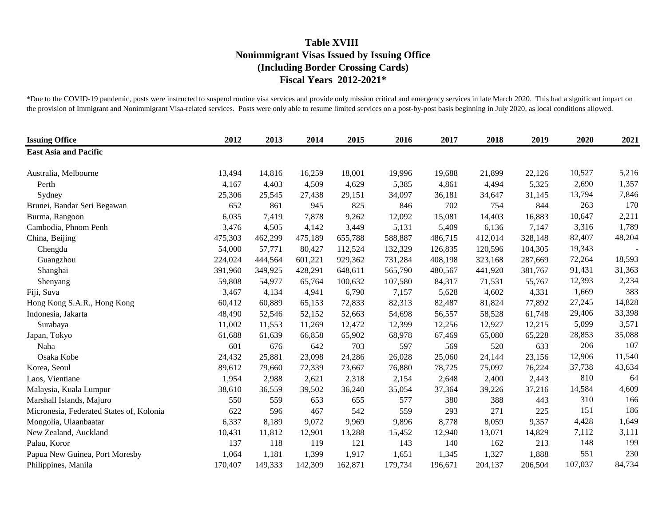| <b>Issuing Office</b>                    | 2012    | 2013    | 2014    | 2015    | 2016    | 2017    | 2018    | 2019    | 2020    | 2021   |
|------------------------------------------|---------|---------|---------|---------|---------|---------|---------|---------|---------|--------|
| <b>East Asia and Pacific</b>             |         |         |         |         |         |         |         |         |         |        |
| Australia, Melbourne                     | 13,494  | 14,816  | 16,259  | 18,001  | 19,996  | 19,688  | 21,899  | 22,126  | 10,527  | 5,216  |
| Perth                                    | 4,167   | 4,403   | 4,509   | 4,629   | 5,385   | 4,861   | 4,494   | 5,325   | 2,690   | 1,357  |
| Sydney                                   | 25,306  | 25,545  | 27,438  | 29,151  | 34,097  | 36,181  | 34,647  | 31,145  | 13,794  | 7,846  |
| Brunei, Bandar Seri Begawan              | 652     | 861     | 945     | 825     | 846     | 702     | 754     | 844     | 263     | 170    |
| Burma, Rangoon                           | 6,035   | 7,419   | 7,878   | 9,262   | 12,092  | 15,081  | 14,403  | 16,883  | 10,647  | 2,211  |
| Cambodia, Phnom Penh                     | 3,476   | 4,505   | 4,142   | 3,449   | 5,131   | 5,409   | 6,136   | 7,147   | 3,316   | 1,789  |
| China, Beijing                           | 475,303 | 462,299 | 475,189 | 655,788 | 588,887 | 486,715 | 412,014 | 328,148 | 82,407  | 48,204 |
| Chengdu                                  | 54,000  | 57,771  | 80,427  | 112,524 | 132,329 | 126,835 | 120,596 | 104,305 | 19,343  |        |
| Guangzhou                                | 224,024 | 444,564 | 601,221 | 929,362 | 731,284 | 408,198 | 323,168 | 287,669 | 72,264  | 18,593 |
| Shanghai                                 | 391,960 | 349,925 | 428,291 | 648,611 | 565,790 | 480,567 | 441,920 | 381,767 | 91,431  | 31,363 |
| Shenyang                                 | 59,808  | 54,977  | 65,764  | 100,632 | 107,580 | 84,317  | 71,531  | 55,767  | 12,393  | 2,234  |
| Fiji, Suva                               | 3,467   | 4,134   | 4,941   | 6,790   | 7,157   | 5,628   | 4,602   | 4,331   | 1,669   | 383    |
| Hong Kong S.A.R., Hong Kong              | 60,412  | 60,889  | 65,153  | 72,833  | 82,313  | 82,487  | 81,824  | 77,892  | 27,245  | 14,828 |
| Indonesia, Jakarta                       | 48,490  | 52,546  | 52,152  | 52,663  | 54,698  | 56,557  | 58,528  | 61,748  | 29,406  | 33,398 |
| Surabaya                                 | 11,002  | 11,553  | 11,269  | 12,472  | 12,399  | 12,256  | 12,927  | 12,215  | 5,099   | 3,571  |
| Japan, Tokyo                             | 61,688  | 61,639  | 66,858  | 65,902  | 68,978  | 67,469  | 65,080  | 65,228  | 28,853  | 35,088 |
| Naha                                     | 601     | 676     | 642     | 703     | 597     | 569     | 520     | 633     | 206     | 107    |
| Osaka Kobe                               | 24,432  | 25,881  | 23,098  | 24,286  | 26,028  | 25,060  | 24,144  | 23,156  | 12,906  | 11,540 |
| Korea, Seoul                             | 89,612  | 79,660  | 72,339  | 73,667  | 76,880  | 78,725  | 75,097  | 76,224  | 37,738  | 43,634 |
| Laos, Vientiane                          | 1,954   | 2,988   | 2,621   | 2,318   | 2,154   | 2,648   | 2,400   | 2,443   | 810     | 64     |
| Malaysia, Kuala Lumpur                   | 38,610  | 36,559  | 39,502  | 36,240  | 35,054  | 37,364  | 39,226  | 37,216  | 14,584  | 4,609  |
| Marshall Islands, Majuro                 | 550     | 559     | 653     | 655     | 577     | 380     | 388     | 443     | 310     | 166    |
| Micronesia, Federated States of, Kolonia | 622     | 596     | 467     | 542     | 559     | 293     | 271     | 225     | 151     | 186    |
| Mongolia, Ulaanbaatar                    | 6,337   | 8,189   | 9,072   | 9,969   | 9,896   | 8,778   | 8,059   | 9,357   | 4,428   | 1,649  |
| New Zealand, Auckland                    | 10,431  | 11,812  | 12,901  | 13,288  | 15,452  | 12,940  | 13,071  | 14,829  | 7,112   | 3,111  |
| Palau, Koror                             | 137     | 118     | 119     | 121     | 143     | 140     | 162     | 213     | 148     | 199    |
| Papua New Guinea, Port Moresby           | 1,064   | 1,181   | 1,399   | 1,917   | 1,651   | 1,345   | 1,327   | 1,888   | 551     | 230    |
| Philippines, Manila                      | 170,407 | 149,333 | 142,309 | 162,871 | 179,734 | 196,671 | 204,137 | 206,504 | 107,037 | 84,734 |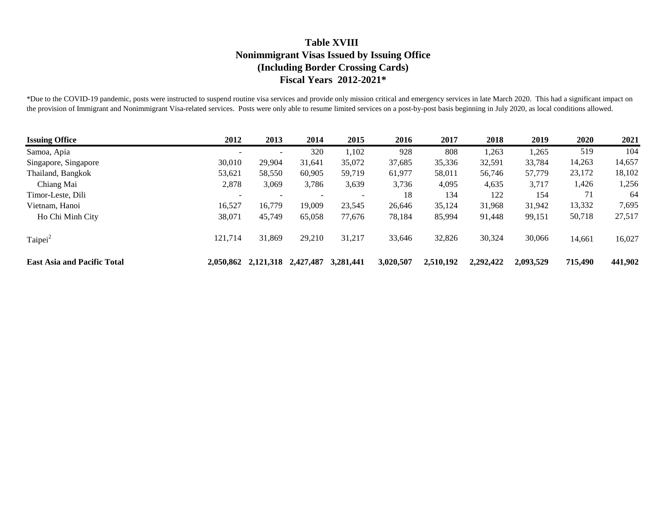| <b>Issuing Office</b>              | 2012                     | 2013                     | 2014                     | 2015      | 2016      | 2017      | 2018      | 2019      | 2020    | 2021    |
|------------------------------------|--------------------------|--------------------------|--------------------------|-----------|-----------|-----------|-----------|-----------|---------|---------|
| Samoa, Apia                        | $\overline{\phantom{a}}$ | $\overline{\phantom{0}}$ | 320                      | 1,102     | 928       | 808       | 1,263     | 1,265     | 519     | 104     |
| Singapore, Singapore               | 30,010                   | 29.904                   | 31,641                   | 35,072    | 37.685    | 35,336    | 32,591    | 33,784    | 14,263  | 14,657  |
| Thailand, Bangkok                  | 53,621                   | 58,550                   | 60,905                   | 59,719    | 61.977    | 58,011    | 56,746    | 57,779    | 23,172  | 18,102  |
| Chiang Mai                         | 2,878                    | 3,069                    | 3,786                    | 3,639     | 3,736     | 4,095     | 4,635     | 3,717     | 1,426   | 1,256   |
| Timor-Leste, Dili                  | $\overline{\phantom{0}}$ |                          | $\overline{\phantom{0}}$ |           | 18        | 134       | 122       | 154       | 71      | 64      |
| Vietnam, Hanoi                     | 16,527                   | 16.779                   | 19.009                   | 23,545    | 26.646    | 35,124    | 31.968    | 31,942    | 13,332  | 7,695   |
| Ho Chi Minh City                   | 38,071                   | 45,749                   | 65,058                   | 77,676    | 78,184    | 85,994    | 91,448    | 99,151    | 50,718  | 27,517  |
| Taipei <sup>2</sup>                | 121,714                  | 31,869                   | 29,210                   | 31,217    | 33,646    | 32,826    | 30,324    | 30,066    | 14,661  | 16,027  |
| <b>East Asia and Pacific Total</b> | 2,050,862                | 2,121,318                | 2,427,487                | 3,281,441 | 3,020,507 | 2,510,192 | 2,292,422 | 2,093,529 | 715,490 | 441,902 |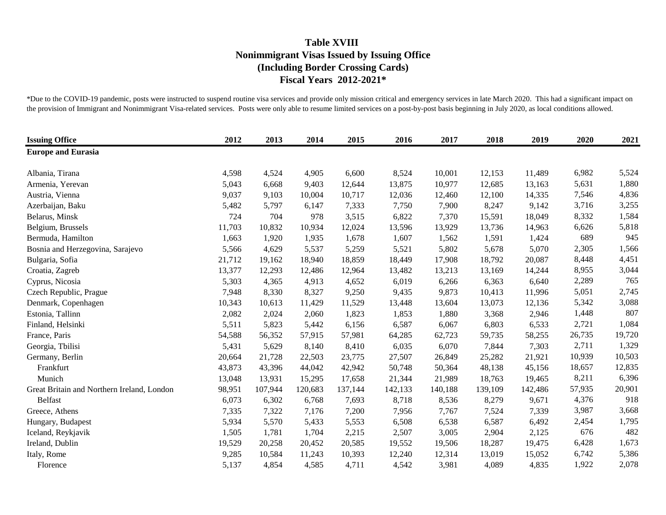| <b>Issuing Office</b>                      | 2012   | 2013    | 2014    | 2015    | 2016    | 2017    | 2018    | 2019    | 2020   | 2021   |
|--------------------------------------------|--------|---------|---------|---------|---------|---------|---------|---------|--------|--------|
| <b>Europe and Eurasia</b>                  |        |         |         |         |         |         |         |         |        |        |
|                                            |        |         |         |         |         |         |         |         |        |        |
| Albania, Tirana                            | 4,598  | 4,524   | 4,905   | 6,600   | 8,524   | 10,001  | 12,153  | 11,489  | 6,982  | 5,524  |
| Armenia, Yerevan                           | 5,043  | 6,668   | 9,403   | 12,644  | 13,875  | 10,977  | 12,685  | 13,163  | 5,631  | 1,880  |
| Austria, Vienna                            | 9,037  | 9,103   | 10,004  | 10,717  | 12,036  | 12,460  | 12,100  | 14,335  | 7,546  | 4,836  |
| Azerbaijan, Baku                           | 5,482  | 5,797   | 6,147   | 7,333   | 7,750   | 7,900   | 8,247   | 9,142   | 3,716  | 3,255  |
| Belarus, Minsk                             | 724    | 704     | 978     | 3,515   | 6,822   | 7,370   | 15,591  | 18,049  | 8,332  | 1,584  |
| Belgium, Brussels                          | 11,703 | 10,832  | 10,934  | 12,024  | 13,596  | 13,929  | 13,736  | 14,963  | 6,626  | 5,818  |
| Bermuda, Hamilton                          | 1,663  | 1,920   | 1,935   | 1,678   | 1,607   | 1,562   | 1,591   | 1,424   | 689    | 945    |
| Bosnia and Herzegovina, Sarajevo           | 5,566  | 4,629   | 5,537   | 5,259   | 5,521   | 5,802   | 5,678   | 5,070   | 2,305  | 1,566  |
| Bulgaria, Sofia                            | 21,712 | 19,162  | 18,940  | 18,859  | 18,449  | 17,908  | 18,792  | 20,087  | 8,448  | 4,451  |
| Croatia, Zagreb                            | 13,377 | 12,293  | 12,486  | 12,964  | 13,482  | 13,213  | 13,169  | 14,244  | 8,955  | 3,044  |
| Cyprus, Nicosia                            | 5,303  | 4,365   | 4,913   | 4,652   | 6,019   | 6,266   | 6,363   | 6,640   | 2,289  | 765    |
| Czech Republic, Prague                     | 7,948  | 8,330   | 8,327   | 9,250   | 9,435   | 9,873   | 10,413  | 11,996  | 5,051  | 2,745  |
| Denmark, Copenhagen                        | 10,343 | 10,613  | 11,429  | 11,529  | 13,448  | 13,604  | 13,073  | 12,136  | 5,342  | 3,088  |
| Estonia, Tallinn                           | 2,082  | 2,024   | 2,060   | 1,823   | 1,853   | 1,880   | 3,368   | 2,946   | 1,448  | 807    |
| Finland, Helsinki                          | 5,511  | 5,823   | 5,442   | 6,156   | 6,587   | 6,067   | 6,803   | 6,533   | 2,721  | 1,084  |
| France, Paris                              | 54,588 | 56,352  | 57,915  | 57,981  | 64,285  | 62,723  | 59,735  | 58,255  | 26,735 | 19,720 |
| Georgia, Tbilisi                           | 5,431  | 5,629   | 8,140   | 8,410   | 6,035   | 6,070   | 7,844   | 7,303   | 2,711  | 1,329  |
| Germany, Berlin                            | 20,664 | 21,728  | 22,503  | 23,775  | 27,507  | 26,849  | 25,282  | 21,921  | 10,939 | 10,503 |
| Frankfurt                                  | 43,873 | 43,396  | 44,042  | 42,942  | 50,748  | 50,364  | 48,138  | 45,156  | 18,657 | 12,835 |
| Munich                                     | 13,048 | 13,931  | 15,295  | 17,658  | 21,344  | 21,989  | 18,763  | 19,465  | 8,211  | 6,396  |
| Great Britain and Northern Ireland, London | 98,951 | 107,944 | 120,683 | 137,144 | 142,133 | 140,188 | 139,109 | 142,486 | 57,935 | 20,901 |
| <b>Belfast</b>                             | 6,073  | 6,302   | 6,768   | 7,693   | 8,718   | 8,536   | 8,279   | 9,671   | 4,376  | 918    |
| Greece, Athens                             | 7,335  | 7,322   | 7,176   | 7,200   | 7,956   | 7,767   | 7,524   | 7,339   | 3,987  | 3,668  |
| Hungary, Budapest                          | 5,934  | 5,570   | 5,433   | 5,553   | 6,508   | 6,538   | 6,587   | 6,492   | 2,454  | 1,795  |
| Iceland, Reykjavik                         | 1,505  | 1,781   | 1,704   | 2,215   | 2,507   | 3,005   | 2,904   | 2,125   | 676    | 482    |
| Ireland, Dublin                            | 19,529 | 20,258  | 20,452  | 20,585  | 19,552  | 19,506  | 18,287  | 19,475  | 6,428  | 1,673  |
| Italy, Rome                                | 9,285  | 10,584  | 11,243  | 10,393  | 12,240  | 12,314  | 13,019  | 15,052  | 6,742  | 5,386  |
| Florence                                   | 5,137  | 4,854   | 4,585   | 4,711   | 4,542   | 3,981   | 4,089   | 4,835   | 1,922  | 2,078  |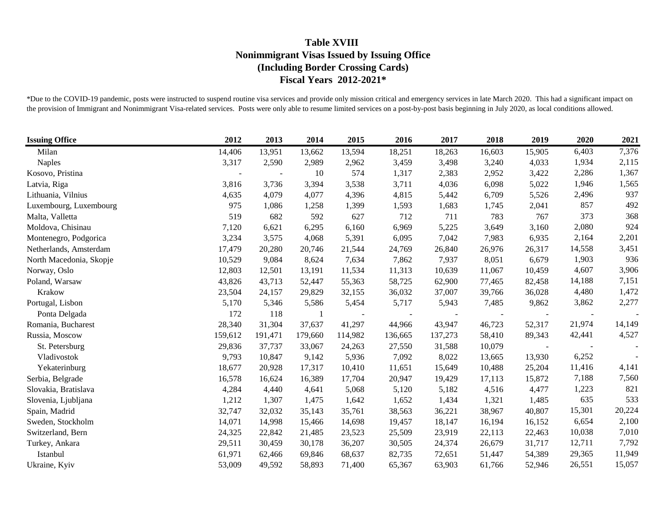| <b>Issuing Office</b>   | 2012    | 2013    | 2014    | 2015    | 2016    | 2017    | 2018   | 2019   | 2020   | 2021   |
|-------------------------|---------|---------|---------|---------|---------|---------|--------|--------|--------|--------|
| Milan                   | 14,406  | 13,951  | 13,662  | 13,594  | 18,251  | 18,263  | 16,603 | 15,905 | 6,403  | 7,376  |
| <b>Naples</b>           | 3,317   | 2,590   | 2,989   | 2,962   | 3,459   | 3,498   | 3,240  | 4,033  | 1,934  | 2,115  |
| Kosovo, Pristina        |         |         | 10      | 574     | 1,317   | 2,383   | 2,952  | 3,422  | 2,286  | 1,367  |
| Latvia, Riga            | 3,816   | 3,736   | 3,394   | 3,538   | 3,711   | 4,036   | 6,098  | 5,022  | 1,946  | 1,565  |
| Lithuania, Vilnius      | 4,635   | 4,079   | 4,077   | 4,396   | 4,815   | 5,442   | 6,709  | 5,526  | 2,496  | 937    |
| Luxembourg, Luxembourg  | 975     | 1,086   | 1,258   | 1,399   | 1,593   | 1,683   | 1,745  | 2,041  | 857    | 492    |
| Malta, Valletta         | 519     | 682     | 592     | 627     | 712     | 711     | 783    | 767    | 373    | 368    |
| Moldova, Chisinau       | 7,120   | 6,621   | 6,295   | 6,160   | 6,969   | 5,225   | 3,649  | 3,160  | 2,080  | 924    |
| Montenegro, Podgorica   | 3,234   | 3,575   | 4,068   | 5,391   | 6,095   | 7,042   | 7,983  | 6,935  | 2,164  | 2,201  |
| Netherlands, Amsterdam  | 17,479  | 20,280  | 20,746  | 21,544  | 24,769  | 26,840  | 26,976 | 26,317 | 14,558 | 3,451  |
| North Macedonia, Skopje | 10,529  | 9,084   | 8,624   | 7,634   | 7,862   | 7,937   | 8,051  | 6,679  | 1,903  | 936    |
| Norway, Oslo            | 12,803  | 12,501  | 13,191  | 11,534  | 11,313  | 10,639  | 11,067 | 10,459 | 4,607  | 3,906  |
| Poland, Warsaw          | 43,826  | 43,713  | 52,447  | 55,363  | 58,725  | 62,900  | 77,465 | 82,458 | 14,188 | 7,151  |
| Krakow                  | 23,504  | 24,157  | 29,829  | 32,155  | 36,032  | 37,007  | 39,766 | 36,028 | 4,480  | 1,472  |
| Portugal, Lisbon        | 5,170   | 5,346   | 5,586   | 5,454   | 5,717   | 5,943   | 7,485  | 9,862  | 3,862  | 2,277  |
| Ponta Delgada           | 172     | 118     |         |         |         |         |        |        |        |        |
| Romania, Bucharest      | 28,340  | 31,304  | 37,637  | 41,297  | 44,966  | 43,947  | 46,723 | 52,317 | 21,974 | 14,149 |
| Russia, Moscow          | 159,612 | 191,471 | 179,660 | 114,982 | 136,665 | 137,273 | 58,410 | 89,343 | 42,441 | 4,527  |
| St. Petersburg          | 29,836  | 37,737  | 33,067  | 24,263  | 27,550  | 31,588  | 10,079 |        |        |        |
| Vladivostok             | 9,793   | 10,847  | 9,142   | 5,936   | 7,092   | 8,022   | 13,665 | 13,930 | 6,252  |        |
| Yekaterinburg           | 18,677  | 20,928  | 17,317  | 10,410  | 11,651  | 15,649  | 10,488 | 25,204 | 11,416 | 4,141  |
| Serbia, Belgrade        | 16,578  | 16,624  | 16,389  | 17,704  | 20,947  | 19,429  | 17,113 | 15,872 | 7,188  | 7,560  |
| Slovakia, Bratislava    | 4,284   | 4,440   | 4,641   | 5,068   | 5,120   | 5,182   | 4,516  | 4,477  | 1,223  | 821    |
| Slovenia, Ljubljana     | 1,212   | 1,307   | 1,475   | 1,642   | 1,652   | 1,434   | 1,321  | 1,485  | 635    | 533    |
| Spain, Madrid           | 32,747  | 32,032  | 35,143  | 35,761  | 38,563  | 36,221  | 38,967 | 40,807 | 15,301 | 20,224 |
| Sweden, Stockholm       | 14,071  | 14,998  | 15,466  | 14,698  | 19,457  | 18,147  | 16,194 | 16,152 | 6,654  | 2,100  |
| Switzerland, Bern       | 24,325  | 22,842  | 21,485  | 23,523  | 25,509  | 23,919  | 22,113 | 22,463 | 10,038 | 7,010  |
| Turkey, Ankara          | 29,511  | 30,459  | 30,178  | 36,207  | 30,505  | 24,374  | 26,679 | 31,717 | 12,711 | 7,792  |
| Istanbul                | 61,971  | 62,466  | 69,846  | 68,637  | 82,735  | 72,651  | 51,447 | 54,389 | 29,365 | 11,949 |
| Ukraine, Kyiv           | 53,009  | 49,592  | 58,893  | 71,400  | 65,367  | 63,903  | 61,766 | 52,946 | 26,551 | 15,057 |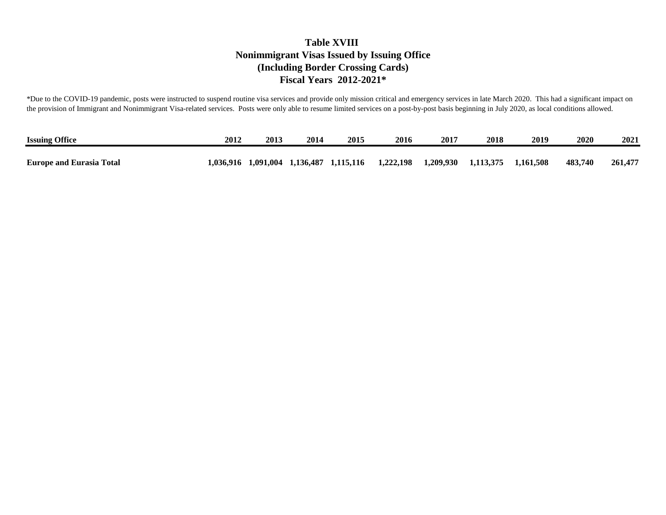| <b>Issuing Office</b>                     | 2012      | 2013           | 2014      | 2015      | 2016      | 2017      | 2018      | 2019      | <b>2020</b> | 2021    |
|-------------------------------------------|-----------|----------------|-----------|-----------|-----------|-----------|-----------|-----------|-------------|---------|
|                                           |           |                |           |           |           |           |           |           |             |         |
| $\sim$<br><b>Europe and Eurasia Total</b> | 1,036,916 | 1.091<br>1.004 | 1.136.487 | 1,115,116 | 1,222,198 | 1,209,930 | 1,113,375 | 1.161.508 | 483,740     | 261,477 |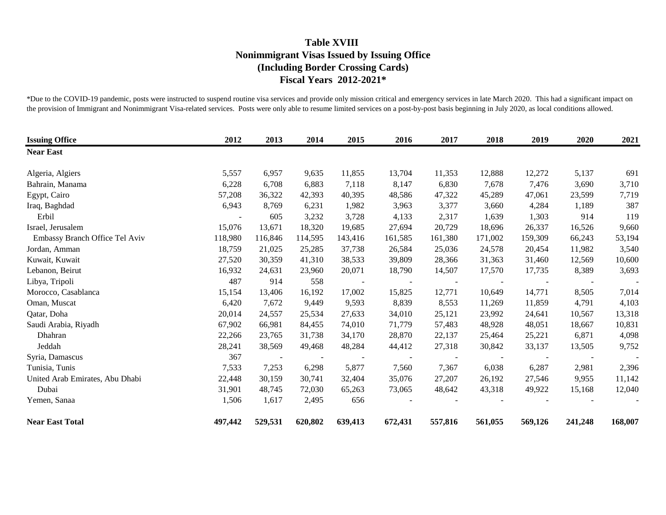| <b>Issuing Office</b>           | 2012    | 2013    | 2014    | 2015                     | 2016    | 2017    | 2018    | 2019    | 2020    | 2021    |
|---------------------------------|---------|---------|---------|--------------------------|---------|---------|---------|---------|---------|---------|
| <b>Near East</b>                |         |         |         |                          |         |         |         |         |         |         |
| Algeria, Algiers                | 5,557   | 6,957   | 9,635   | 11,855                   | 13,704  | 11,353  | 12,888  | 12,272  | 5,137   | 691     |
| Bahrain, Manama                 | 6,228   | 6,708   | 6,883   | 7,118                    | 8,147   | 6,830   | 7,678   | 7,476   | 3,690   | 3,710   |
| Egypt, Cairo                    | 57,208  | 36,322  | 42,393  | 40,395                   | 48,586  | 47,322  | 45,289  | 47,061  | 23,599  | 7,719   |
| Iraq, Baghdad                   | 6,943   | 8,769   | 6,231   | 1,982                    | 3,963   | 3,377   | 3,660   | 4,284   | 1,189   | 387     |
| Erbil                           |         | 605     | 3,232   | 3,728                    | 4,133   | 2,317   | 1,639   | 1,303   | 914     | 119     |
| Israel, Jerusalem               | 15,076  | 13,671  | 18,320  | 19,685                   | 27,694  | 20,729  | 18,696  | 26,337  | 16,526  | 9,660   |
| Embassy Branch Office Tel Aviv  | 118,980 | 116,846 | 114,595 | 143,416                  | 161,585 | 161,380 | 171,002 | 159,309 | 66,243  | 53,194  |
| Jordan, Amman                   | 18,759  | 21,025  | 25,285  | 37,738                   | 26,584  | 25,036  | 24,578  | 20,454  | 11,982  | 3,540   |
| Kuwait, Kuwait                  | 27,520  | 30,359  | 41,310  | 38,533                   | 39,809  | 28,366  | 31,363  | 31,460  | 12,569  | 10,600  |
| Lebanon, Beirut                 | 16,932  | 24,631  | 23,960  | 20,071                   | 18,790  | 14,507  | 17,570  | 17,735  | 8,389   | 3,693   |
| Libya, Tripoli                  | 487     | 914     | 558     | $\overline{\phantom{a}}$ |         |         |         |         |         |         |
| Morocco, Casablanca             | 15,154  | 13,406  | 16,192  | 17,002                   | 15,825  | 12,771  | 10,649  | 14,771  | 8,505   | 7,014   |
| Oman, Muscat                    | 6,420   | 7,672   | 9,449   | 9,593                    | 8,839   | 8,553   | 11,269  | 11,859  | 4,791   | 4,103   |
| Qatar, Doha                     | 20,014  | 24,557  | 25,534  | 27,633                   | 34,010  | 25,121  | 23,992  | 24,641  | 10,567  | 13,318  |
| Saudi Arabia, Riyadh            | 67,902  | 66,981  | 84,455  | 74,010                   | 71,779  | 57,483  | 48,928  | 48,051  | 18,667  | 10,831  |
| Dhahran                         | 22,266  | 23,765  | 31,738  | 34,170                   | 28,870  | 22,137  | 25,464  | 25,221  | 6,871   | 4,098   |
| Jeddah                          | 28,241  | 38,569  | 49,468  | 48,284                   | 44,412  | 27,318  | 30,842  | 33,137  | 13,505  | 9,752   |
| Syria, Damascus                 | 367     |         |         |                          |         |         |         |         |         |         |
| Tunisia, Tunis                  | 7,533   | 7,253   | 6,298   | 5,877                    | 7,560   | 7,367   | 6,038   | 6,287   | 2,981   | 2,396   |
| United Arab Emirates, Abu Dhabi | 22,448  | 30,159  | 30,741  | 32,404                   | 35,076  | 27,207  | 26,192  | 27,546  | 9,955   | 11,142  |
| Dubai                           | 31,901  | 48,745  | 72,030  | 65,263                   | 73,065  | 48,642  | 43,318  | 49,922  | 15,168  | 12,040  |
| Yemen, Sanaa                    | 1,506   | 1,617   | 2,495   | 656                      |         |         |         |         |         |         |
| <b>Near East Total</b>          | 497,442 | 529,531 | 620,802 | 639,413                  | 672,431 | 557,816 | 561,055 | 569,126 | 241,248 | 168,007 |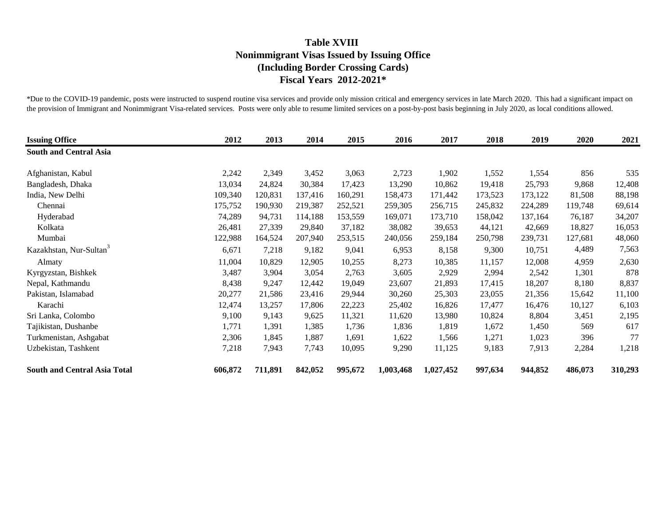| <b>Issuing Office</b>               | 2012    | 2013    | 2014    | 2015    | 2016      | 2017      | 2018    | 2019    | <b>2020</b> | 2021    |
|-------------------------------------|---------|---------|---------|---------|-----------|-----------|---------|---------|-------------|---------|
| <b>South and Central Asia</b>       |         |         |         |         |           |           |         |         |             |         |
| Afghanistan, Kabul                  | 2,242   | 2,349   | 3,452   | 3,063   | 2,723     | 1,902     | 1,552   | 1,554   | 856         | 535     |
| Bangladesh, Dhaka                   | 13,034  | 24,824  | 30,384  | 17,423  | 13,290    | 10,862    | 19,418  | 25,793  | 9,868       | 12,408  |
| India, New Delhi                    | 109,340 | 120,831 | 137,416 | 160,291 | 158,473   | 171,442   | 173,523 | 173,122 | 81,508      | 88,198  |
| Chennai                             | 175,752 | 190,930 | 219,387 | 252,521 | 259,305   | 256,715   | 245,832 | 224,289 | 119,748     | 69,614  |
| Hyderabad                           | 74,289  | 94,731  | 114,188 | 153,559 | 169,071   | 173,710   | 158,042 | 137,164 | 76,187      | 34,207  |
| Kolkata                             | 26,481  | 27,339  | 29,840  | 37,182  | 38,082    | 39,653    | 44,121  | 42,669  | 18,827      | 16,053  |
| Mumbai                              | 122,988 | 164,524 | 207,940 | 253,515 | 240,056   | 259,184   | 250,798 | 239,731 | 127,681     | 48,060  |
| Kazakhstan, Nur-Sultan <sup>3</sup> | 6,671   | 7,218   | 9,182   | 9,041   | 6,953     | 8,158     | 9,300   | 10,751  | 4,489       | 7,563   |
| Almaty                              | 11,004  | 10,829  | 12,905  | 10,255  | 8,273     | 10,385    | 11,157  | 12,008  | 4,959       | 2,630   |
| Kyrgyzstan, Bishkek                 | 3,487   | 3,904   | 3,054   | 2,763   | 3,605     | 2,929     | 2,994   | 2,542   | 1,301       | 878     |
| Nepal, Kathmandu                    | 8,438   | 9,247   | 12,442  | 19,049  | 23,607    | 21,893    | 17,415  | 18,207  | 8,180       | 8,837   |
| Pakistan, Islamabad                 | 20,277  | 21,586  | 23,416  | 29,944  | 30,260    | 25,303    | 23,055  | 21,356  | 15,642      | 11,100  |
| Karachi                             | 12,474  | 13,257  | 17,806  | 22,223  | 25,402    | 16,826    | 17,477  | 16,476  | 10,127      | 6,103   |
| Sri Lanka, Colombo                  | 9,100   | 9,143   | 9,625   | 11,321  | 11,620    | 13,980    | 10,824  | 8,804   | 3,451       | 2,195   |
| Tajikistan, Dushanbe                | 1,771   | 1,391   | 1,385   | 1,736   | 1,836     | 1,819     | 1,672   | 1,450   | 569         | 617     |
| Turkmenistan, Ashgabat              | 2,306   | 1,845   | 1,887   | 1,691   | 1,622     | 1,566     | 1,271   | 1,023   | 396         | 77      |
| Uzbekistan, Tashkent                | 7,218   | 7,943   | 7,743   | 10,095  | 9,290     | 11,125    | 9,183   | 7,913   | 2,284       | 1,218   |
| <b>South and Central Asia Total</b> | 606,872 | 711,891 | 842,052 | 995,672 | 1,003,468 | 1,027,452 | 997,634 | 944,852 | 486,073     | 310,293 |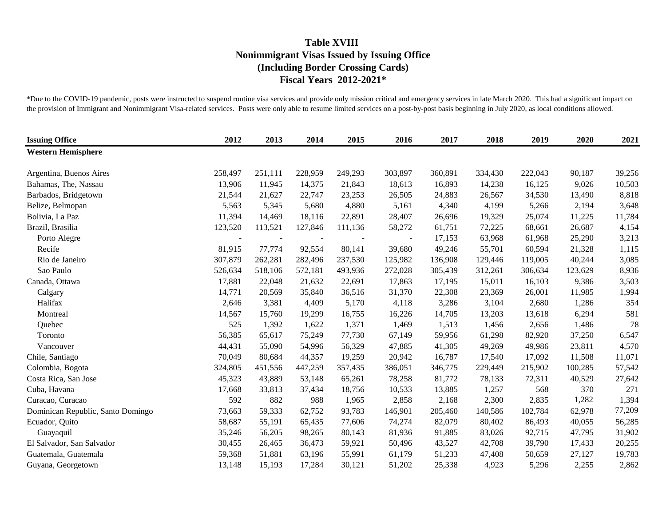| <b>Issuing Office</b>             | 2012    | 2013    | 2014    | 2015    | 2016    | 2017    | 2018    | 2019    | 2020    | 2021   |
|-----------------------------------|---------|---------|---------|---------|---------|---------|---------|---------|---------|--------|
| <b>Western Hemisphere</b>         |         |         |         |         |         |         |         |         |         |        |
| Argentina, Buenos Aires           | 258,497 | 251,111 | 228,959 | 249,293 | 303,897 | 360,891 | 334,430 | 222,043 | 90,187  | 39,256 |
| Bahamas, The, Nassau              | 13,906  | 11,945  | 14,375  | 21,843  | 18,613  | 16,893  | 14,238  | 16,125  | 9,026   | 10,503 |
| Barbados, Bridgetown              | 21,544  | 21,627  | 22,747  | 23,253  | 26,505  | 24,883  | 26,567  | 34,530  | 13,490  | 8,818  |
| Belize, Belmopan                  | 5,563   | 5,345   | 5,680   | 4,880   | 5,161   | 4,340   | 4,199   | 5,266   | 2,194   | 3,648  |
| Bolivia, La Paz                   | 11,394  | 14,469  | 18,116  | 22,891  | 28,407  | 26,696  | 19,329  | 25,074  | 11,225  | 11,784 |
| Brazil, Brasilia                  | 123,520 | 113,521 | 127,846 | 111,136 | 58,272  | 61,751  | 72,225  | 68,661  | 26,687  | 4,154  |
| Porto Alegre                      |         |         |         |         |         | 17,153  | 63,968  | 61,968  | 25,290  | 3,213  |
| Recife                            | 81,915  | 77,774  | 92,554  | 80,141  | 39,680  | 49,246  | 55,701  | 60,594  | 21,328  | 1,115  |
| Rio de Janeiro                    | 307,879 | 262,281 | 282,496 | 237,530 | 125,982 | 136,908 | 129,446 | 119,005 | 40,244  | 3,085  |
| Sao Paulo                         | 526,634 | 518,106 | 572,181 | 493,936 | 272,028 | 305,439 | 312,261 | 306,634 | 123,629 | 8,936  |
| Canada, Ottawa                    | 17,881  | 22,048  | 21,632  | 22,691  | 17,863  | 17,195  | 15,011  | 16,103  | 9,386   | 3,503  |
| Calgary                           | 14,771  | 20,569  | 35,840  | 36,516  | 31,370  | 22,308  | 23,369  | 26,001  | 11,985  | 1,994  |
| Halifax                           | 2,646   | 3,381   | 4,409   | 5,170   | 4,118   | 3,286   | 3,104   | 2,680   | 1,286   | 354    |
| Montreal                          | 14,567  | 15,760  | 19,299  | 16,755  | 16,226  | 14,705  | 13,203  | 13,618  | 6,294   | 581    |
| Quebec                            | 525     | 1,392   | 1,622   | 1,371   | 1,469   | 1,513   | 1,456   | 2,656   | 1,486   | 78     |
| Toronto                           | 56,385  | 65,617  | 75,249  | 77,730  | 67,149  | 59,956  | 61,298  | 82,920  | 37,250  | 6,547  |
| Vancouver                         | 44,431  | 55,090  | 54,996  | 56,329  | 47,885  | 41,305  | 49,269  | 49,986  | 23,811  | 4,570  |
| Chile, Santiago                   | 70,049  | 80,684  | 44,357  | 19,259  | 20,942  | 16,787  | 17,540  | 17,092  | 11,508  | 11,071 |
| Colombia, Bogota                  | 324,805 | 451,556 | 447,259 | 357,435 | 386,051 | 346,775 | 229,449 | 215,902 | 100,285 | 57,542 |
| Costa Rica, San Jose              | 45,323  | 43,889  | 53,148  | 65,261  | 78,258  | 81,772  | 78,133  | 72,311  | 40,529  | 27,642 |
| Cuba, Havana                      | 17,668  | 33,813  | 37,434  | 18,756  | 10,533  | 13,885  | 1,257   | 568     | 370     | 271    |
| Curacao, Curacao                  | 592     | 882     | 988     | 1,965   | 2,858   | 2,168   | 2,300   | 2,835   | 1,282   | 1,394  |
| Dominican Republic, Santo Domingo | 73,663  | 59,333  | 62,752  | 93,783  | 146,901 | 205,460 | 140,586 | 102,784 | 62,978  | 77,209 |
| Ecuador, Quito                    | 58,687  | 55,191  | 65,435  | 77,606  | 74,274  | 82,079  | 80,402  | 86,493  | 40,055  | 56,285 |
| Guayaquil                         | 35,246  | 56,205  | 98,265  | 80,143  | 81,936  | 91,885  | 83,026  | 92,715  | 47,795  | 31,902 |
| El Salvador, San Salvador         | 30,455  | 26,465  | 36,473  | 59,921  | 50,496  | 43,527  | 42,708  | 39,790  | 17,433  | 20,255 |
| Guatemala, Guatemala              | 59,368  | 51,881  | 63,196  | 55,991  | 61,179  | 51,233  | 47,408  | 50,659  | 27,127  | 19,783 |
| Guyana, Georgetown                | 13,148  | 15,193  | 17,284  | 30,121  | 51,202  | 25,338  | 4,923   | 5,296   | 2,255   | 2,862  |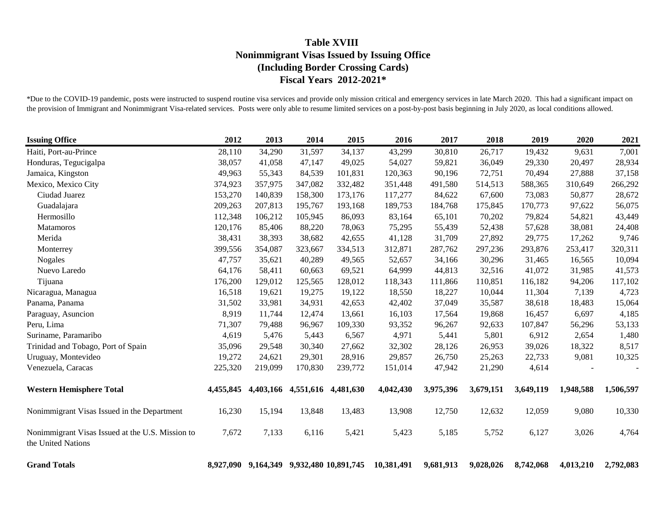| <b>Issuing Office</b>                                                  | 2012      | 2013                                     | 2014    | 2015                | 2016       | 2017      | 2018      | 2019      | 2020      | 2021      |
|------------------------------------------------------------------------|-----------|------------------------------------------|---------|---------------------|------------|-----------|-----------|-----------|-----------|-----------|
| Haiti, Port-au-Prince                                                  | 28,110    | 34,290                                   | 31,597  | 34,137              | 43,299     | 30,810    | 26,717    | 19,432    | 9,631     | 7,001     |
| Honduras, Tegucigalpa                                                  | 38,057    | 41,058                                   | 47,147  | 49,025              | 54,027     | 59,821    | 36,049    | 29,330    | 20,497    | 28,934    |
| Jamaica, Kingston                                                      | 49,963    | 55,343                                   | 84,539  | 101,831             | 120,363    | 90,196    | 72,751    | 70,494    | 27,888    | 37,158    |
| Mexico, Mexico City                                                    | 374,923   | 357,975                                  | 347,082 | 332,482             | 351,448    | 491,580   | 514,513   | 588,365   | 310,649   | 266,292   |
| Ciudad Juarez                                                          | 153,270   | 140,839                                  | 158,300 | 173,176             | 117,277    | 84,622    | 67,600    | 73,083    | 50,877    | 28,672    |
| Guadalajara                                                            | 209,263   | 207,813                                  | 195,767 | 193,168             | 189,753    | 184,768   | 175,845   | 170,773   | 97,622    | 56,075    |
| Hermosillo                                                             | 112,348   | 106,212                                  | 105,945 | 86,093              | 83,164     | 65,101    | 70,202    | 79,824    | 54,821    | 43,449    |
| Matamoros                                                              | 120,176   | 85,406                                   | 88,220  | 78,063              | 75,295     | 55,439    | 52,438    | 57,628    | 38,081    | 24,408    |
| Merida                                                                 | 38,431    | 38,393                                   | 38,682  | 42,655              | 41,128     | 31,709    | 27,892    | 29,775    | 17,262    | 9,746     |
| Monterrey                                                              | 399,556   | 354,087                                  | 323,667 | 334,513             | 312,871    | 287,762   | 297,236   | 293,876   | 253,417   | 320,311   |
| <b>Nogales</b>                                                         | 47,757    | 35,621                                   | 40,289  | 49,565              | 52,657     | 34,166    | 30,296    | 31,465    | 16,565    | 10,094    |
| Nuevo Laredo                                                           | 64,176    | 58,411                                   | 60,663  | 69,521              | 64,999     | 44,813    | 32,516    | 41,072    | 31,985    | 41,573    |
| Tijuana                                                                | 176,200   | 129,012                                  | 125,565 | 128,012             | 118,343    | 111,866   | 110,851   | 116,182   | 94,206    | 117,102   |
| Nicaragua, Managua                                                     | 16,518    | 19,621                                   | 19,275  | 19,122              | 18,550     | 18,227    | 10,044    | 11,304    | 7,139     | 4,723     |
| Panama, Panama                                                         | 31,502    | 33,981                                   | 34,931  | 42,653              | 42,402     | 37,049    | 35,587    | 38,618    | 18,483    | 15,064    |
| Paraguay, Asuncion                                                     | 8,919     | 11,744                                   | 12,474  | 13,661              | 16,103     | 17,564    | 19,868    | 16,457    | 6,697     | 4,185     |
| Peru, Lima                                                             | 71,307    | 79,488                                   | 96,967  | 109,330             | 93,352     | 96,267    | 92,633    | 107,847   | 56,296    | 53,133    |
| Suriname, Paramaribo                                                   | 4,619     | 5,476                                    | 5,443   | 6,567               | 4,971      | 5,441     | 5,801     | 6,912     | 2,654     | 1,480     |
| Trinidad and Tobago, Port of Spain                                     | 35,096    | 29,548                                   | 30,340  | 27,662              | 32,302     | 28,126    | 26,953    | 39,026    | 18,322    | 8,517     |
| Uruguay, Montevideo                                                    | 19,272    | 24,621                                   | 29,301  | 28,916              | 29,857     | 26,750    | 25,263    | 22,733    | 9,081     | 10,325    |
| Venezuela, Caracas                                                     | 225,320   | 219,099                                  | 170,830 | 239,772             | 151,014    | 47,942    | 21,290    | 4,614     |           |           |
| <b>Western Hemisphere Total</b>                                        | 4,455,845 | 4,403,166                                |         | 4,551,616 4,481,630 | 4,042,430  | 3,975,396 | 3,679,151 | 3,649,119 | 1,948,588 | 1,506,597 |
| Nonimmigrant Visas Issued in the Department                            | 16,230    | 15,194                                   | 13,848  | 13,483              | 13,908     | 12,750    | 12,632    | 12,059    | 9,080     | 10,330    |
| Nonimmigrant Visas Issued at the U.S. Mission to<br>the United Nations | 7,672     | 7,133                                    | 6,116   | 5,421               | 5,423      | 5,185     | 5,752     | 6,127     | 3,026     | 4,764     |
| <b>Grand Totals</b>                                                    |           | 8,927,090 9,164,349 9,932,480 10,891,745 |         |                     | 10,381,491 | 9,681,913 | 9,028,026 | 8,742,068 | 4,013,210 | 2,792,083 |